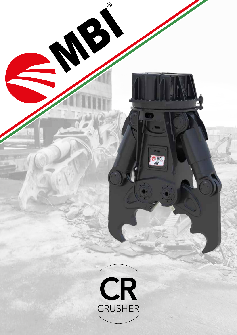